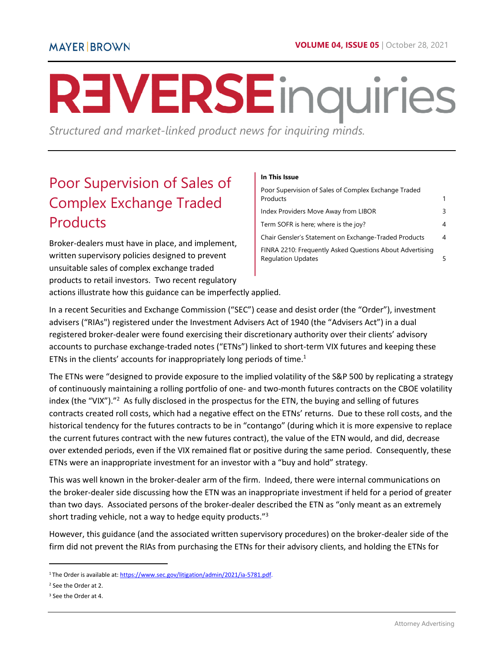# **REVERSE** inquiries

*Structured and market-linked product news for inquiring minds.* 

# <span id="page-0-0"></span>Poor Supervision of Sales of Complex Exchange Traded **Products**

Broker-dealers must have in place, and implement, written supervisory policies designed to prevent unsuitable sales of complex exchange traded products to retail investors. Two recent regulatory actions illustrate how this guidance can be imperfectly applied.

#### **In This Issue**

| Poor Supervision of Sales of Complex Exchange Traded<br>Products                      | 1 |
|---------------------------------------------------------------------------------------|---|
| Index Providers Move Away from LIBOR                                                  | 3 |
| Term SOFR is here; where is the joy?                                                  | 4 |
| Chair Gensler's Statement on Exchange-Traded Products                                 | 4 |
| FINRA 2210: Frequently Asked Questions About Advertising<br><b>Regulation Updates</b> |   |

In a recent Securities and Exchange Commission ("SEC") cease and desist order (the "Order"), investment advisers ("RIAs") registered under the Investment Advisers Act of 1940 (the "Advisers Act") in a dual registered broker-dealer were found exercising their discretionary authority over their clients' advisory accounts to purchase exchange-traded notes ("ETNs") linked to short-term VIX futures and keeping these ETNs in the clients' accounts for inappropriately long periods of time. $1$ 

The ETNs were "designed to provide exposure to the implied volatility of the S&P 500 by replicating a strategy of continuously maintaining a rolling portfolio of one- and two-month futures contracts on the CBOE volatility index (the "VIX")."<sup>2</sup> As fully disclosed in the prospectus for the ETN, the buying and selling of futures contracts created roll costs, which had a negative effect on the ETNs' returns. Due to these roll costs, and the historical tendency for the futures contracts to be in "contango" (during which it is more expensive to replace the current futures contract with the new futures contract), the value of the ETN would, and did, decrease over extended periods, even if the VIX remained flat or positive during the same period. Consequently, these ETNs were an inappropriate investment for an investor with a "buy and hold" strategy.

This was well known in the broker-dealer arm of the firm. Indeed, there were internal communications on the broker-dealer side discussing how the ETN was an inappropriate investment if held for a period of greater than two days. Associated persons of the broker-dealer described the ETN as "only meant as an extremely short trading vehicle, not a way to hedge equity products."<sup>3</sup>

However, this guidance (and the associated written supervisory procedures) on the broker-dealer side of the firm did not prevent the RIAs from purchasing the ETNs for their advisory clients, and holding the ETNs for

<sup>&</sup>lt;sup>1</sup>The Order is available at: https://www.sec.gov/litigation/admin/2021/ia-5781.pdf.

<sup>2</sup> See the Order at 2.

<sup>3</sup> See the Order at 4.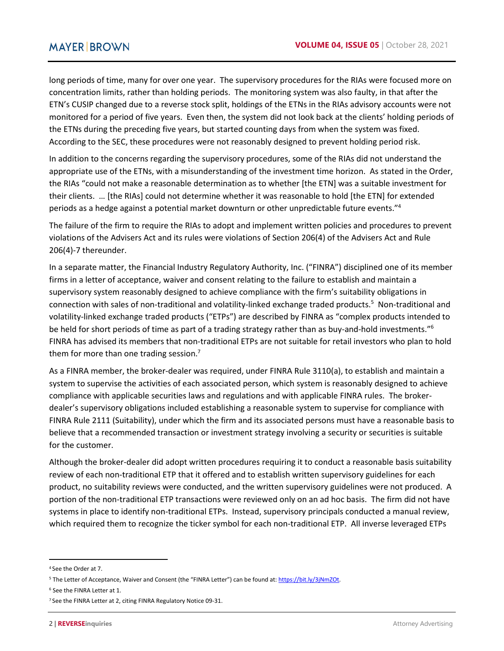long periods of time, many for over one year. The supervisory procedures for the RIAs were focused more on concentration limits, rather than holding periods. The monitoring system was also faulty, in that after the ETN's CUSIP changed due to a reverse stock split, holdings of the ETNs in the RIAs advisory accounts were not monitored for a period of five years. Even then, the system did not look back at the clients' holding periods of the ETNs during the preceding five years, but started counting days from when the system was fixed. According to the SEC, these procedures were not reasonably designed to prevent holding period risk.

In addition to the concerns regarding the supervisory procedures, some of the RIAs did not understand the appropriate use of the ETNs, with a misunderstanding of the investment time horizon. As stated in the Order, the RIAs "could not make a reasonable determination as to whether [the ETN] was a suitable investment for their clients. … [the RIAs] could not determine whether it was reasonable to hold [the ETN] for extended periods as a hedge against a potential market downturn or other unpredictable future events."<sup>4</sup>

The failure of the firm to require the RIAs to adopt and implement written policies and procedures to prevent violations of the Advisers Act and its rules were violations of Section 206(4) of the Advisers Act and Rule 206(4)-7 thereunder.

In a separate matter, the Financial Industry Regulatory Authority, Inc. ("FINRA") disciplined one of its member firms in a letter of acceptance, waiver and consent relating to the failure to establish and maintain a supervisory system reasonably designed to achieve compliance with the firm's suitability obligations in connection with sales of non-traditional and volatility-linked exchange traded products.<sup>5</sup> Non-traditional and volatility-linked exchange traded products ("ETPs") are described by FINRA as "complex products intended to be held for short periods of time as part of a trading strategy rather than as buy-and-hold investments."<sup>6</sup> FINRA has advised its members that non-traditional ETPs are not suitable for retail investors who plan to hold them for more than one trading session.<sup>7</sup>

As a FINRA member, the broker-dealer was required, under FINRA Rule 3110(a), to establish and maintain a system to supervise the activities of each associated person, which system is reasonably designed to achieve compliance with applicable securities laws and regulations and with applicable FINRA rules. The brokerdealer's supervisory obligations included establishing a reasonable system to supervise for compliance with FINRA Rule 2111 (Suitability), under which the firm and its associated persons must have a reasonable basis to believe that a recommended transaction or investment strategy involving a security or securities is suitable for the customer.

Although the broker-dealer did adopt written procedures requiring it to conduct a reasonable basis suitability review of each non-traditional ETP that it offered and to establish written supervisory guidelines for each product, no suitability reviews were conducted, and the written supervisory guidelines were not produced. A portion of the non-traditional ETP transactions were reviewed only on an ad hoc basis. The firm did not have systems in place to identify non-traditional ETPs. Instead, supervisory principals conducted a manual review, which required them to recognize the ticker symbol for each non-traditional ETP. All inverse leveraged ETPs

<sup>&</sup>lt;sup>4</sup> See the Order at 7.

<sup>&</sup>lt;sup>5</sup> The Letter of Acceptance, Waiver and Consent (the "FINRA Letter") can be found at: https://bit.ly/3jNmZOt.

<sup>6</sup> See the FINRA Letter at 1.

<sup>&</sup>lt;sup>7</sup> See the FINRA Letter at 2, citing FINRA Regulatory Notice 09-31.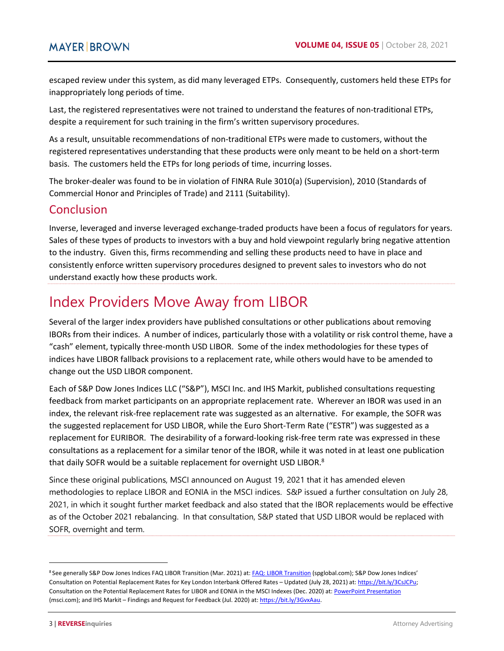escaped review under this system, as did many leveraged ETPs. Consequently, customers held these ETPs for inappropriately long periods of time.

Last, the registered representatives were not trained to understand the features of non-traditional ETPs, despite a requirement for such training in the firm's written supervisory procedures.

As a result, unsuitable recommendations of non-traditional ETPs were made to customers, without the registered representatives understanding that these products were only meant to be held on a short-term basis. The customers held the ETPs for long periods of time, incurring losses.

The broker-dealer was found to be in violation of FINRA Rule 3010(a) (Supervision), 2010 (Standards of Commercial Honor and Principles of Trade) and 2111 (Suitability).

# Conclusion

Inverse, leveraged and inverse leveraged exchange-traded products have been a focus of regulators for years. Sales of these types of products to investors with a buy and hold viewpoint regularly bring negative attention to the industry. Given this, firms recommending and selling these products need to have in place and consistently enforce written supervisory procedures designed to prevent sales to investors who do not understand exactly how these products work.

# <span id="page-2-0"></span>Index Providers Move Away from LIBOR

Several of the larger index providers have published consultations or other publications about removing IBORs from their indices. A number of indices, particularly those with a volatility or risk control theme, have a "cash" element, typically three-month USD LIBOR. Some of the index methodologies for these types of indices have LIBOR fallback provisions to a replacement rate, while others would have to be amended to change out the USD LIBOR component.

Each of S&P Dow Jones Indices LLC ("S&P"), MSCI Inc. and IHS Markit, published consultations requesting feedback from market participants on an appropriate replacement rate. Wherever an IBOR was used in an index, the relevant risk-free replacement rate was suggested as an alternative. For example, the SOFR was the suggested replacement for USD LIBOR, while the Euro Short-Term Rate ("ESTR") was suggested as a replacement for EURIBOR. The desirability of a forward-looking risk-free term rate was expressed in these consultations as a replacement for a similar tenor of the IBOR, while it was noted in at least one publication that daily SOFR would be a suitable replacement for overnight USD LIBOR.<sup>8</sup>

Since these original publications, MSCI announced on August 19, 2021 that it has amended eleven methodologies to replace LIBOR and EONIA in the MSCI indices. S&P issued a further consultation on July 28, 2021, in which it sought further market feedback and also stated that the IBOR replacements would be effective as of the October 2021 rebalancing. In that consultation, S&P stated that USD LIBOR would be replaced with SOFR, overnight and term.

<sup>8</sup>See generally S&P Dow Jones Indices FAQ LIBOR Transition (Mar. 2021) at[: FAQ: LIBOR Transition \(spglobal.com\);](https://www.spglobal.com/spdji/en/documents/education/faq-libor-transition.pdf) S&P Dow Jones Indices' Consultation on Potential Replacement Rates for Key London Interbank Offered Rates – Updated (July 28, 2021) at[: https://bit.ly/3CsJCPu;](https://bit.ly/3CsJCPu) Consultation on the Potential Replacement Rates for LIBOR and EONIA in the MSCI Indexes (Dec. 2020) at[: PowerPoint Presentation](https://www.msci.com/documents/1296102/17875700/Consultation+on+the+Potential+Replacement+Rates+for+LIBOR+and+EONIA+in+the+MSCI+Indexes.pdf/2312a591-ab08-8a4f-9324-be2c3fc2e230?t=1607697292236) [\(msci.com\);](https://www.msci.com/documents/1296102/17875700/Consultation+on+the+Potential+Replacement+Rates+for+LIBOR+and+EONIA+in+the+MSCI+Indexes.pdf/2312a591-ab08-8a4f-9324-be2c3fc2e230?t=1607697292236) and IHS Markit – Findings and Request for Feedback (Jul. 2020) at: [https://bit.ly/3GvxAau.](https://bit.ly/3GvxAau)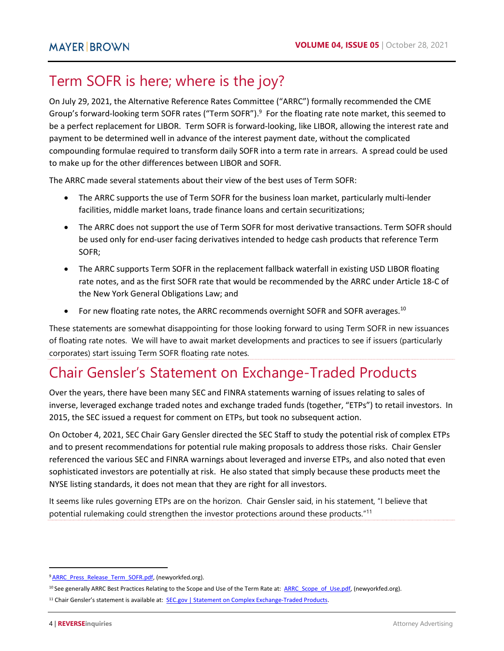# <span id="page-3-0"></span>Term SOFR is here; where is the joy?

On July 29, 2021, the Alternative Reference Rates Committee ("ARRC") formally recommended the CME Group's forward-looking term SOFR rates ("Term SOFR").<sup>9</sup> For the floating rate note market, this seemed to be a perfect replacement for LIBOR. Term SOFR is forward-looking, like LIBOR, allowing the interest rate and payment to be determined well in advance of the interest payment date, without the complicated compounding formulae required to transform daily SOFR into a term rate in arrears. A spread could be used to make up for the other differences between LIBOR and SOFR.

The ARRC made several statements about their view of the best uses of Term SOFR:

- The ARRC supports the use of Term SOFR for the business loan market, particularly multi-lender facilities, middle market loans, trade finance loans and certain securitizations;
- The ARRC does not support the use of Term SOFR for most derivative transactions. Term SOFR should be used only for end-user facing derivatives intended to hedge cash products that reference Term SOFR;
- The ARRC supports Term SOFR in the replacement fallback waterfall in existing USD LIBOR floating rate notes, and as the first SOFR rate that would be recommended by the ARRC under Article 18-C of the New York General Obligations Law; and
- For new floating rate notes, the ARRC recommends overnight SOFR and SOFR averages. $^{10}$

These statements are somewhat disappointing for those looking forward to using Term SOFR in new issuances of floating rate notes. We will have to await market developments and practices to see if issuers (particularly corporates) start issuing Term SOFR floating rate notes.

# <span id="page-3-1"></span>Chair Gensler's Statement on Exchange-Traded Products

Over the years, there have been many SEC and FINRA statements warning of issues relating to sales of inverse, leveraged exchange traded notes and exchange traded funds (together, "ETPs") to retail investors. In 2015, the SEC issued a request for comment on ETPs, but took no subsequent action.

On October 4, 2021, SEC Chair Gary Gensler directed the SEC Staff to study the potential risk of complex ETPs and to present recommendations for potential rule making proposals to address those risks. Chair Gensler referenced the various SEC and FINRA warnings about leveraged and inverse ETPs, and also noted that even sophisticated investors are potentially at risk. He also stated that simply because these products meet the NYSE listing standards, it does not mean that they are right for all investors.

It seems like rules governing ETPs are on the horizon. Chair Gensler said, in his statement, "I believe that potential rulemaking could strengthen the investor protections around these products."<sup>11</sup>

<sup>&</sup>lt;sup>9</sup> ARRC\_Press\_Release\_Term\_SOFR.pdf, (newyorkfed.org).

<sup>&</sup>lt;sup>10</sup> See generally ARRC Best Practices Relating to the Scope and Use of the Term Rate at: [ARRC\\_Scope\\_of\\_Use.pdf, \(](https://www.newyorkfed.org/medialibrary/Microsites/arrc/files/2021/ARRC_Scope_of_Use.pdf)newyorkfed.org).

<sup>&</sup>lt;sup>11</sup> Chair Gensler's statement is available at: **SEC.gov | Statement on Complex Exchange-Traded Products.**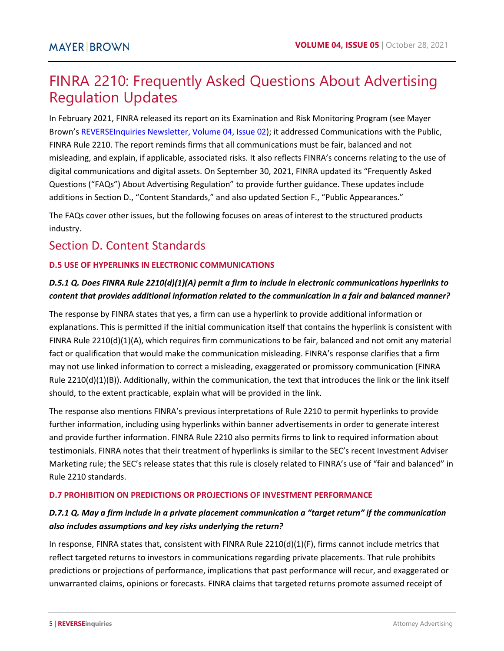# <span id="page-4-0"></span>FINRA 2210: Frequently Asked Questions About Advertising Regulation Updates

In February 2021, FINRA released its report on its Examination and Risk Monitoring Program (see Mayer Brown'[s REVERSEInquiries Newsletter, Volume 04, Issue 02\)](https://www.mayerbrown.com/-/media/files/perspectives-events/publications/2021/03/reverseinquiries-newsletter--42.pdf); it addressed Communications with the Public, FINRA Rule 2210. The report reminds firms that all communications must be fair, balanced and not misleading, and explain, if applicable, associated risks. It also reflects FINRA's concerns relating to the use of digital communications and digital assets. On September 30, 2021, FINRA updated its "Frequently Asked Questions ("FAQs") About Advertising Regulation" to provide further guidance. These updates include additions in Section D., "Content Standards," and also updated Section F., "Public Appearances."

The FAQs cover other issues, but the following focuses on areas of interest to the structured products industry.

# Section D. Content Standards

## **D.5 USE OF HYPERLINKS IN ELECTRONIC COMMUNICATIONS**

## *D.5.1 Q. Does FINRA Rule 2210(d)(1)(A) permit a firm to include in electronic communications hyperlinks to content that provides additional information related to the communication in a fair and balanced manner?*

The response by FINRA states that yes, a firm can use a hyperlink to provide additional information or explanations. This is permitted if the initial communication itself that contains the hyperlink is consistent with FINRA Rule 2210(d)(1)(A), which requires firm communications to be fair, balanced and not omit any material fact or qualification that would make the communication misleading. FINRA's response clarifies that a firm may not use linked information to correct a misleading, exaggerated or promissory communication (FINRA Rule 2210(d)(1)(B)). Additionally, within the communication, the text that introduces the link or the link itself should, to the extent practicable, explain what will be provided in the link.

The response also mentions FINRA's previous interpretations of Rule 2210 to permit hyperlinks to provide further information, including using hyperlinks within banner advertisements in order to generate interest and provide further information. FINRA Rule 2210 also permits firms to link to required information about testimonials. FINRA notes that their treatment of hyperlinks is similar to the SEC's recent Investment Adviser Marketing rule; the SEC's release states that this rule is closely related to FINRA's use of "fair and balanced" in Rule 2210 standards.

#### **D.7 PROHIBITION ON PREDICTIONS OR PROJECTIONS OF INVESTMENT PERFORMANCE**

## *D.7.1 Q. May a firm include in a private placement communication a "target return" if the communication also includes assumptions and key risks underlying the return?*

In response, FINRA states that, consistent with FINRA Rule 2210(d)(1)(F), firms cannot include metrics that reflect targeted returns to investors in communications regarding private placements. That rule prohibits predictions or projections of performance, implications that past performance will recur, and exaggerated or unwarranted claims, opinions or forecasts. FINRA claims that targeted returns promote assumed receipt of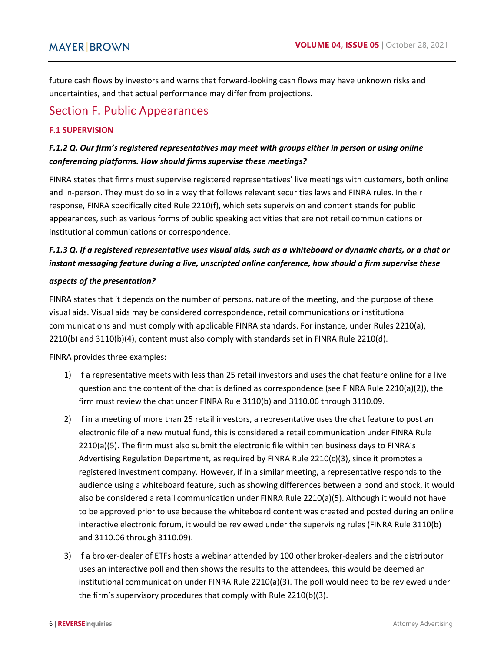future cash flows by investors and warns that forward-looking cash flows may have unknown risks and uncertainties, and that actual performance may differ from projections.

# Section F. Public Appearances

#### **F.1 SUPERVISION**

## *F.1.2 Q. Our firm's registered representatives may meet with groups either in person or using online conferencing platforms. How should firms supervise these meetings?*

FINRA states that firms must supervise registered representatives' live meetings with customers, both online and in-person. They must do so in a way that follows relevant securities laws and FINRA rules. In their response, FINRA specifically cited Rule 2210(f), which sets supervision and content stands for public appearances, such as various forms of public speaking activities that are not retail communications or institutional communications or correspondence.

## *F.1.3 Q. If a registered representative uses visual aids, such as a whiteboard or dynamic charts, or a chat or instant messaging feature during a live, unscripted online conference, how should a firm supervise these*

#### *aspects of the presentation?*

FINRA states that it depends on the number of persons, nature of the meeting, and the purpose of these visual aids. Visual aids may be considered correspondence, retail communications or institutional communications and must comply with applicable FINRA standards. For instance, under Rules 2210(a), 2210(b) and 3110(b)(4), content must also comply with standards set in FINRA Rule 2210(d).

FINRA provides three examples:

- 1) If a representative meets with less than 25 retail investors and uses the chat feature online for a live question and the content of the chat is defined as correspondence (see FINRA Rule 2210(a)(2)), the firm must review the chat under FINRA Rule 3110(b) and 3110.06 through 3110.09.
- 2) If in a meeting of more than 25 retail investors, a representative uses the chat feature to post an electronic file of a new mutual fund, this is considered a retail communication under FINRA Rule 2210(a)(5). The firm must also submit the electronic file within ten business days to FINRA's Advertising Regulation Department, as required by FINRA Rule 2210(c)(3), since it promotes a registered investment company. However, if in a similar meeting, a representative responds to the audience using a whiteboard feature, such as showing differences between a bond and stock, it would also be considered a retail communication under FINRA Rule 2210(a)(5). Although it would not have to be approved prior to use because the whiteboard content was created and posted during an online interactive electronic forum, it would be reviewed under the supervising rules (FINRA Rule 3110(b) and 3110.06 through 3110.09).
- 3) If a broker-dealer of ETFs hosts a webinar attended by 100 other broker-dealers and the distributor uses an interactive poll and then shows the results to the attendees, this would be deemed an institutional communication under FINRA Rule 2210(a)(3). The poll would need to be reviewed under the firm's supervisory procedures that comply with Rule 2210(b)(3).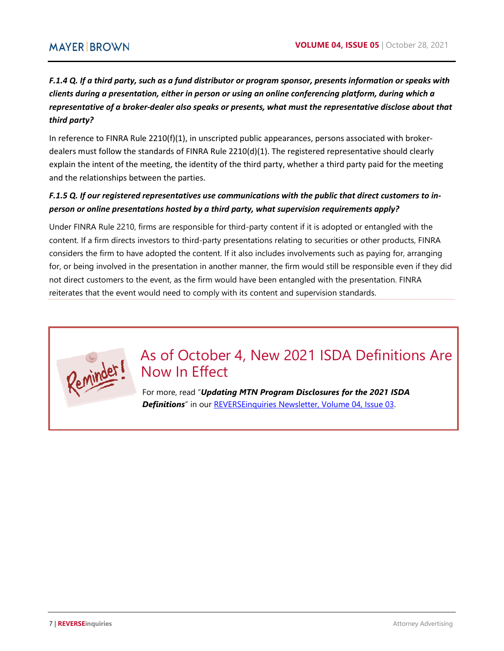## *F.1.4 Q. If a third party, such as a fund distributor or program sponsor, presents information or speaks with clients during a presentation, either in person or using an online conferencing platform, during which a representative of a broker-dealer also speaks or presents, what must the representative disclose about that third party?*

In reference to FINRA Rule 2210(f)(1), in unscripted public appearances, persons associated with brokerdealers must follow the standards of FINRA Rule 2210(d)(1). The registered representative should clearly explain the intent of the meeting, the identity of the third party, whether a third party paid for the meeting and the relationships between the parties.

## *F.1.5 Q. If our registered representatives use communications with the public that direct customers to inperson or online presentations hosted by a third party, what supervision requirements apply?*

Under FINRA Rule 2210, firms are responsible for third-party content if it is adopted or entangled with the content. If a firm directs investors to third-party presentations relating to securities or other products, FINRA considers the firm to have adopted the content. If it also includes involvements such as paying for, arranging for, or being involved in the presentation in another manner, the firm would still be responsible even if they did not direct customers to the event, as the firm would have been entangled with the presentation. FINRA reiterates that the event would need to comply with its content and supervision standards.



# As of October 4, New 2021 ISDA Definitions Are Now In Effect

For more, read "*Updating MTN Program Disclosures for the 2021 ISDA*  **Definitions**" in our [REVERSEinquiries Newsletter, Volume 04, Issue 03.](https://www.mayerbrown.com/-/media/files/perspectives-events/publications/2021/05/reverseinquiries-newsletter-43.pdf)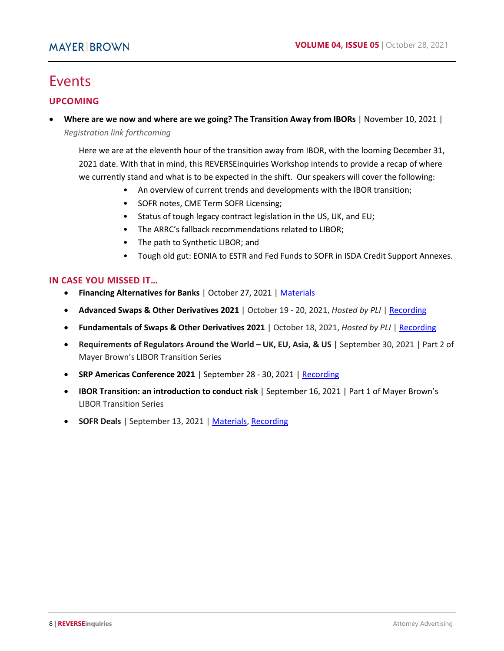# Events

#### **UPCOMING**

 **Where are we now and where are we going? The Transition Away from IBORs** | November 10, 2021 | *Registration link forthcoming*

Here we are at the eleventh hour of the transition away from IBOR, with the looming December 31, 2021 date. With that in mind, this REVERSEinquiries Workshop intends to provide a recap of where we currently stand and what is to be expected in the shift. Our speakers will cover the following:

- An overview of current trends and developments with the IBOR transition;
- SOFR notes, CME Term SOFR Licensing;
- Status of tough legacy contract legislation in the US, UK, and EU;
- The ARRC's fallback recommendations related to LIBOR;
- The path to Synthetic LIBOR; and
- Tough old gut: EONIA to ESTR and Fed Funds to SOFR in ISDA Credit Support Annexes.

#### **IN CASE YOU MISSED IT…**

- **Financing Alternatives for Banks** | October 27, 2021 [| Materials](https://freewritings.mayerbrownblogs.com/wp-content/uploads/sites/24/2021/10/Financing-Alts-for-Banks-Mayer-Brown-10.27.21.pdf)
- **Advanced Swaps & Other Derivatives 2021** | October 19 20, 2021, *Hosted by PLI* | [Recording](https://www.pli.edu/programs/advanced-swaps-other-derivatives)
- **Fundamentals of Swaps & Other Derivatives 2021** | October 18, 2021, *Hosted by PLI* | [Recording](https://www.pli.edu/programs/fundamentals-of-swaps-and-other-derivatives)
- **Requirements of Regulators Around the World UK, EU, Asia, & US** | September 30, 2021 | Part 2 of Mayer Brown's LIBOR Transition Series
- **SRP Americas Conference 2021** | September 28 30, 2021 | [Recording](https://www.mayerbrown.com/en/perspectives-events/events/2021/09/srp-americas-conference-2021)
- **IBOR Transition: an introduction to conduct risk** | September 16, 2021 | Part 1 of Mayer Brown's LIBOR Transition Series
- **SOFR Deals** | September 13, 2021 [| Materials,](https://www.mayerbrown.com/-/media/files/perspectives-events/events/2021/09/sofr-deals.pdf) [Recording](https://www.mayerbrown.com/en/perspectives-events/events/2021/09/sofr-deals)